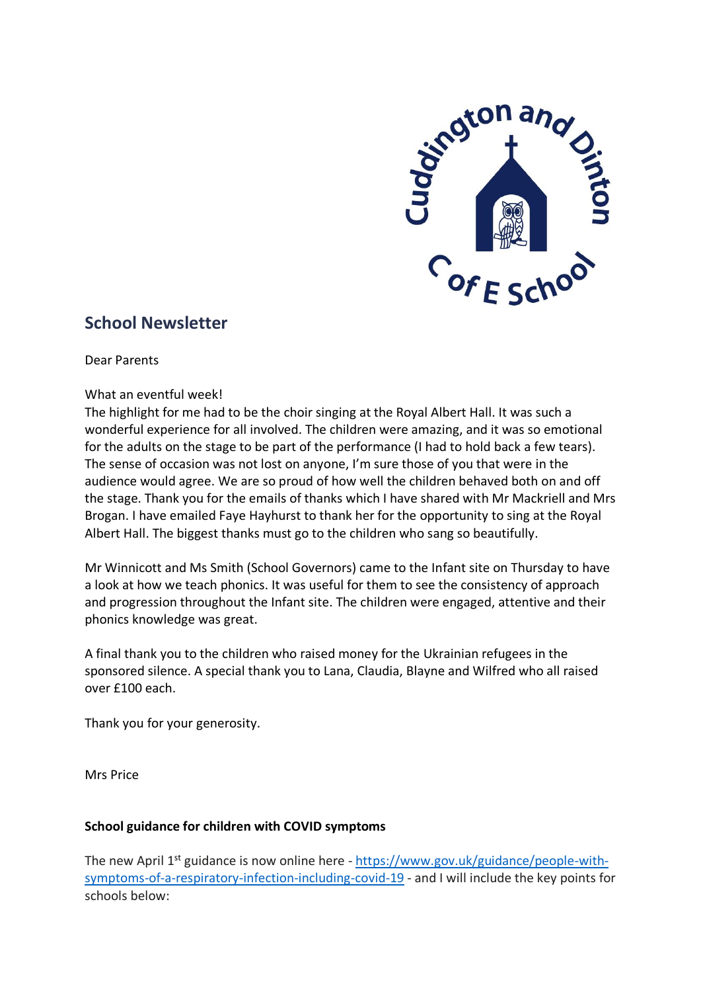

# **School Newsletter**

Dear Parents

## What an eventful week!

The highlight for me had to be the choir singing at the Royal Albert Hall. It was such a wonderful experience for all involved. The children were amazing, and it was so emotional for the adults on the stage to be part of the performance (I had to hold back a few tears). The sense of occasion was not lost on anyone, I'm sure those of you that were in the audience would agree. We are so proud of how well the children behaved both on and off the stage. Thank you for the emails of thanks which I have shared with Mr Mackriell and Mrs Brogan. I have emailed Faye Hayhurst to thank her for the opportunity to sing at the Royal Albert Hall. The biggest thanks must go to the children who sang so beautifully.

Mr Winnicott and Ms Smith (School Governors) came to the Infant site on Thursday to have a look at how we teach phonics. It was useful for them to see the consistency of approach and progression throughout the Infant site. The children were engaged, attentive and their phonics knowledge was great.

A final thank you to the children who raised money for the Ukrainian refugees in the sponsored silence. A special thank you to Lana, Claudia, Blayne and Wilfred who all raised over £100 each.

Thank you for your generosity.

Mrs Price

## **School guidance for children with COVID symptoms**

The new April 1<sup>st</sup> guidance is now online here - [https://www.gov.uk/guidance/people-with](https://eur03.safelinks.protection.outlook.com/?url=https%3A%2F%2Fwww.gov.uk%2Fguidance%2Fpeople-with-symptoms-of-a-respiratory-infection-including-covid-19&data=04%7C01%7Csis%40buckinghamshire.gov.uk%7Cd3bf3977ae164b0e892208da13c559ab%7C7fb976b99e2848e180861ddabecf82a0%7C0%7C0%7C637844035577388693%7CUnknown%7CTWFpbGZsb3d8eyJWIjoiMC4wLjAwMDAiLCJQIjoiV2luMzIiLCJBTiI6Ik1haWwiLCJXVCI6Mn0%3D%7C3000&sdata=hfOBK%2FT8aLcrDV%2BTznBZSH2OulgBqw65%2F%2By%2FSmt%2BN%2Bg%3D&reserved=0)[symptoms-of-a-respiratory-infection-including-covid-19](https://eur03.safelinks.protection.outlook.com/?url=https%3A%2F%2Fwww.gov.uk%2Fguidance%2Fpeople-with-symptoms-of-a-respiratory-infection-including-covid-19&data=04%7C01%7Csis%40buckinghamshire.gov.uk%7Cd3bf3977ae164b0e892208da13c559ab%7C7fb976b99e2848e180861ddabecf82a0%7C0%7C0%7C637844035577388693%7CUnknown%7CTWFpbGZsb3d8eyJWIjoiMC4wLjAwMDAiLCJQIjoiV2luMzIiLCJBTiI6Ik1haWwiLCJXVCI6Mn0%3D%7C3000&sdata=hfOBK%2FT8aLcrDV%2BTznBZSH2OulgBqw65%2F%2By%2FSmt%2BN%2Bg%3D&reserved=0) - and I will include the key points for schools below: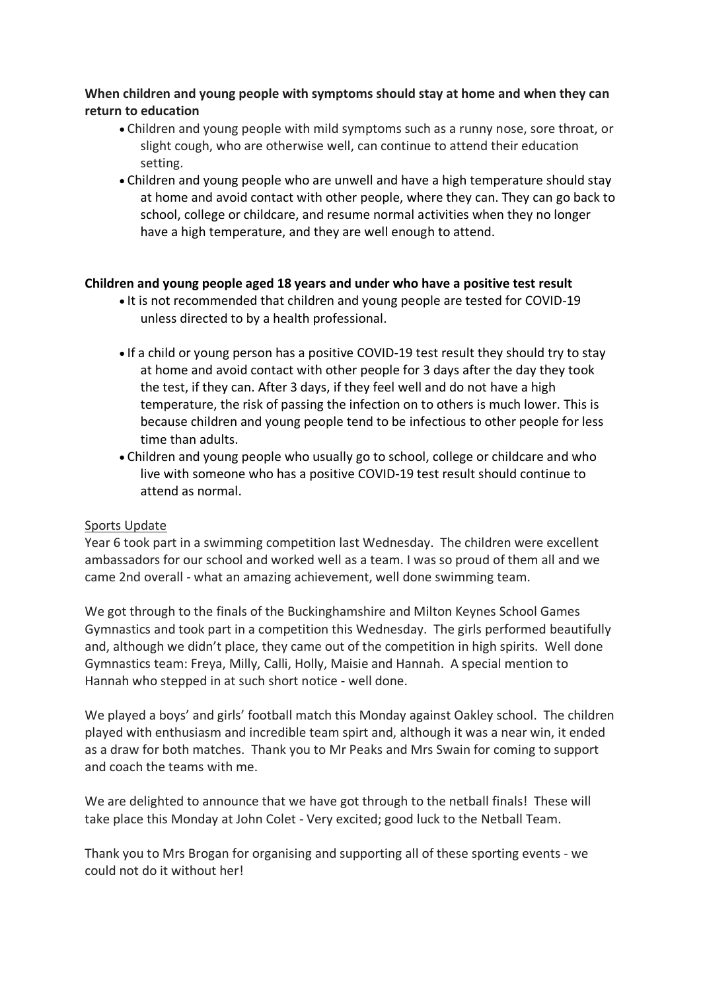# **When children and young people with symptoms should stay at home and when they can return to education**

- Children and young people with mild symptoms such as a runny nose, sore throat, or slight cough, who are otherwise well, can continue to attend their education setting.
- Children and young people who are unwell and have a high temperature should stay at home and avoid contact with other people, where they can. They can go back to school, college or childcare, and resume normal activities when they no longer have a high temperature, and they are well enough to attend.

# **Children and young people aged 18 years and under who have a positive test result**

- It is not recommended that children and young people are tested for COVID-19 unless directed to by a health professional.
- If a child or young person has a positive COVID-19 test result they should try to stay at home and avoid contact with other people for 3 days after the day they took the test, if they can. After 3 days, if they feel well and do not have a high temperature, the risk of passing the infection on to others is much lower. This is because children and young people tend to be infectious to other people for less time than adults.
- Children and young people who usually go to school, college or childcare and who live with someone who has a positive COVID-19 test result should continue to attend as normal.

# Sports Update

Year 6 took part in a swimming competition last Wednesday. The children were excellent ambassadors for our school and worked well as a team. I was so proud of them all and we came 2nd overall - what an amazing achievement, well done swimming team.

We got through to the finals of the Buckinghamshire and Milton Keynes School Games Gymnastics and took part in a competition this Wednesday. The girls performed beautifully and, although we didn't place, they came out of the competition in high spirits. Well done Gymnastics team: Freya, Milly, Calli, Holly, Maisie and Hannah. A special mention to Hannah who stepped in at such short notice - well done.

We played a boys' and girls' football match this Monday against Oakley school. The children played with enthusiasm and incredible team spirt and, although it was a near win, it ended as a draw for both matches. Thank you to Mr Peaks and Mrs Swain for coming to support and coach the teams with me.

We are delighted to announce that we have got through to the netball finals! These will take place this Monday at John Colet - Very excited; good luck to the Netball Team.

Thank you to Mrs Brogan for organising and supporting all of these sporting events - we could not do it without her!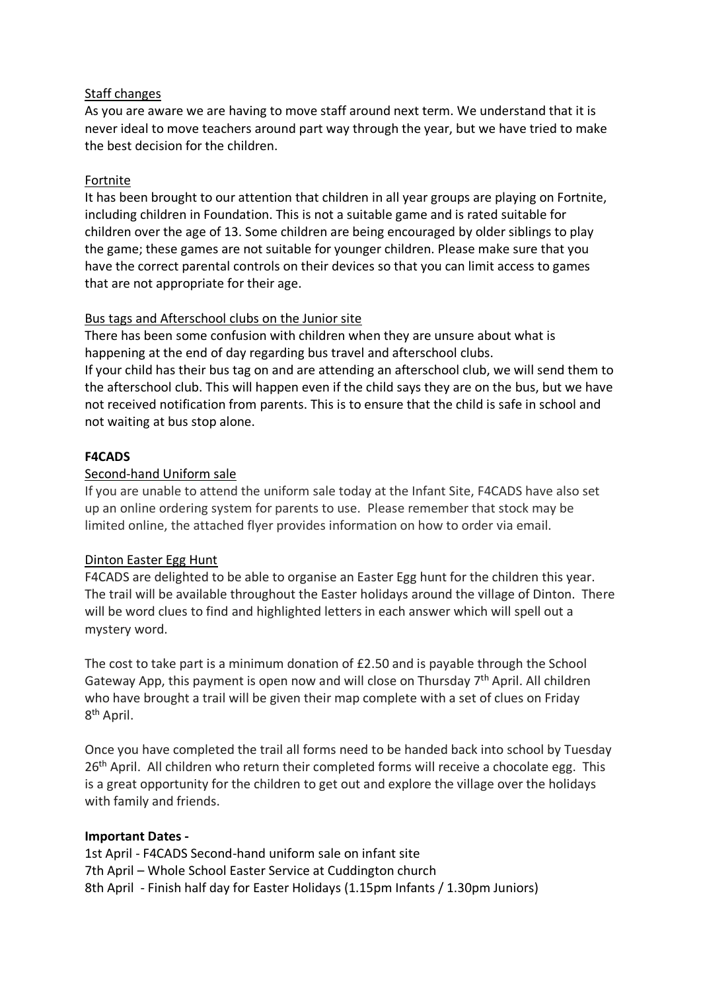# Staff changes

As you are aware we are having to move staff around next term. We understand that it is never ideal to move teachers around part way through the year, but we have tried to make the best decision for the children.

## Fortnite

It has been brought to our attention that children in all year groups are playing on Fortnite, including children in Foundation. This is not a suitable game and is rated suitable for children over the age of 13. Some children are being encouraged by older siblings to play the game; these games are not suitable for younger children. Please make sure that you have the correct parental controls on their devices so that you can limit access to games that are not appropriate for their age.

## Bus tags and Afterschool clubs on the Junior site

There has been some confusion with children when they are unsure about what is happening at the end of day regarding bus travel and afterschool clubs. If your child has their bus tag on and are attending an afterschool club, we will send them to the afterschool club. This will happen even if the child says they are on the bus, but we have not received notification from parents. This is to ensure that the child is safe in school and not waiting at bus stop alone.

## **F4CADS**

## Second-hand Uniform sale

If you are unable to attend the uniform sale today at the Infant Site, F4CADS have also set up an online ordering system for parents to use. Please remember that stock may be limited online, the attached flyer provides information on how to order via email.

## Dinton Easter Egg Hunt

F4CADS are delighted to be able to organise an Easter Egg hunt for the children this year. The trail will be available throughout the Easter holidays around the village of Dinton. There will be word clues to find and highlighted letters in each answer which will spell out a mystery word.

The cost to take part is a minimum donation of £2.50 and is payable through the School Gateway App, this payment is open now and will close on Thursday 7<sup>th</sup> April. All children who have brought a trail will be given their map complete with a set of clues on Friday 8<sup>th</sup> April.

Once you have completed the trail all forms need to be handed back into school by Tuesday 26<sup>th</sup> April. All children who return their completed forms will receive a chocolate egg. This is a great opportunity for the children to get out and explore the village over the holidays with family and friends.

## **Important Dates -**

1st April - F4CADS Second-hand uniform sale on infant site 7th April – Whole School Easter Service at Cuddington church 8th April - Finish half day for Easter Holidays (1.15pm Infants / 1.30pm Juniors)